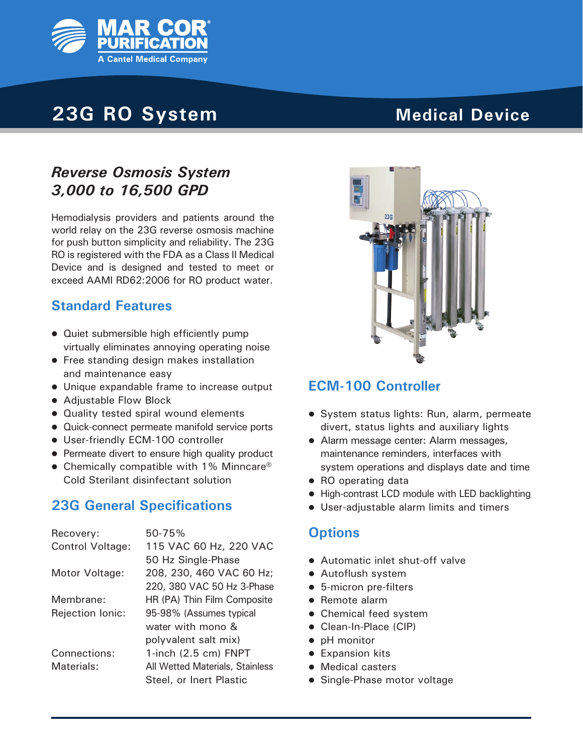

# **23G RO System**

# **Medical Device**

# *Reverse Osmosis System 3,000 to 16,500 GPD*

Hemodialysis providers and patients around the world relay on the 23G reverse osmosis machine for push button simplicity and reliability. The 23G RO is registered with the FDA as a Class II Medical Device and is designed and tested to meet or exceed AAMI RD62:2006 for RO product water.

#### **Standard Features**

- Quiet submersible high efficiently pump virtually eliminates annoying operating noise
- **•** Free standing design makes installation and maintenance easy
- Unique expandable frame to increase output
- Adjustable Flow Block
- Quality tested spiral wound elements
- Quick-connect permeate manifold service ports
- User-friendly ECM-100 controller
- Permeate divert to ensure high quality product
- Chemically compatible with 1% Minncare<sup>®</sup> Cold Sterilant disinfectant solution

## **23G General Specifications**

| Recovery:               | 50-75%                          |  |  |
|-------------------------|---------------------------------|--|--|
| <b>Control Voltage:</b> | 115 VAC 60 Hz, 220 VAC          |  |  |
|                         | 50 Hz Single-Phase              |  |  |
| Motor Voltage:          | 208, 230, 460 VAC 60 Hz;        |  |  |
|                         | 220, 380 VAC 50 Hz 3-Phase      |  |  |
| Membrane:               | HR (PA) Thin Film Composite     |  |  |
| Rejection Ionic:        | 95-98% (Assumes typical         |  |  |
|                         | water with mono &               |  |  |
|                         | polyvalent salt mix)            |  |  |
| Connections:            | 1-inch $(2.5 \text{ cm})$ FNPT  |  |  |
| Materials:              | All Wetted Materials, Stainless |  |  |
|                         | Steel, or Inert Plastic         |  |  |



## **ECM-100 Controller**

- System status lights: Run, alarm, permeate divert, status lights and auxiliary lights
- Alarm message center: Alarm messages, maintenance reminders, interfaces with system operations and displays date and time
- RO operating data
- High-contrast LCD module with LED backlighting
- **.** User-adjustable alarm limits and timers

#### **Options**

- Automatic inlet shut-off valve
- Autoflush system
- 5-micron pre-filters
- $\bullet$  Remote alarm
- Chemical feed system
- Clean-In-Place (CIP)
- pH monitor
- **•** Expansion kits
- Medical casters
- Single-Phase motor voltage